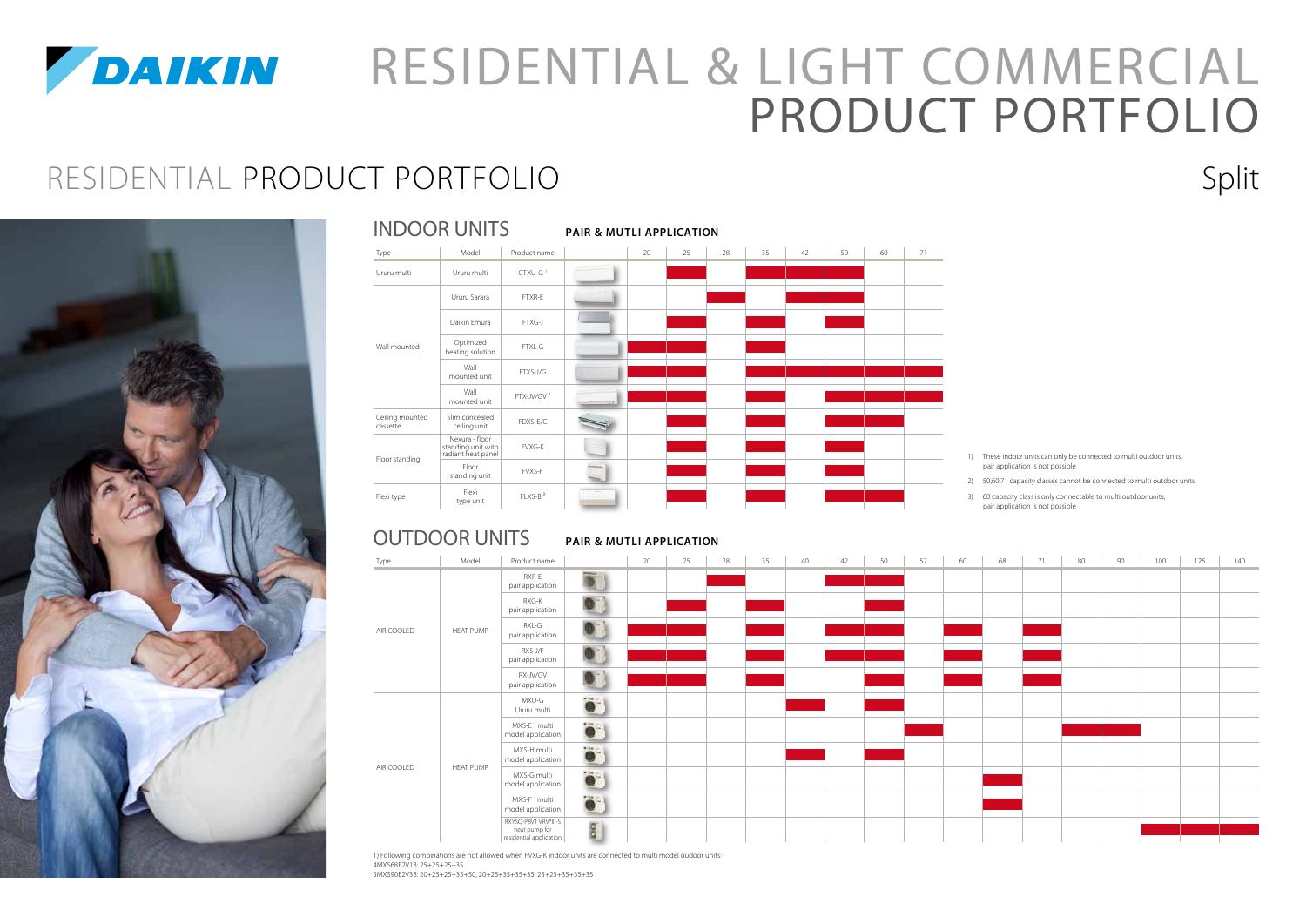

# *DAIKIN* RESIDENTIAL & LIGHT COMMERCIAL PRODUCT PORTFOLIO RESIDENTIAL PRODUCT PORTFOLIO Split



|                             | <b>INDOOR UNITS</b>                                        |                        | <b>PAIR &amp; MUTLI APPLICATION</b> |    |    |    |    |    |    |    |    |  |  |
|-----------------------------|------------------------------------------------------------|------------------------|-------------------------------------|----|----|----|----|----|----|----|----|--|--|
| Type                        | Model                                                      | Product name           |                                     | 20 | 25 | 28 | 35 | 42 | 50 | 60 | 71 |  |  |
| Ururu multi                 | Ururu multi                                                | CTXU-G <sup>1</sup>    |                                     |    |    |    |    |    |    |    |    |  |  |
|                             | Ururu Sarara                                               | FTXR-E                 |                                     |    |    |    |    |    |    |    |    |  |  |
| Wall mounted                | Daikin Emura                                               | FTXG-J                 |                                     |    |    |    |    |    |    |    |    |  |  |
|                             | Optimized<br>heating solution                              | FTXL-G                 |                                     |    |    |    |    |    |    |    |    |  |  |
|                             | Wall<br>mounted unit                                       | FTXS-J/G               |                                     |    |    |    |    |    |    |    |    |  |  |
|                             | Wall<br>mounted unit                                       | FTX-JV/GV <sup>2</sup> |                                     |    |    |    |    |    |    |    |    |  |  |
| Ceiling mounted<br>cassette | Slim concealed<br>ceiling unit                             | FDXS-E/C               |                                     |    |    |    |    |    |    |    |    |  |  |
|                             | Nexura - floor<br>standing unit with<br>radiant heat panel | <b>FVXG-K</b>          |                                     |    |    |    |    |    |    |    |    |  |  |
| Floor standing              | Floor<br>standing unit                                     | FVXS-F                 |                                     |    |    |    |    |    |    |    |    |  |  |
| Flexi type                  | Flexi<br>type unit                                         | FLXS-B <sup>3</sup>    |                                     |    |    |    |    |    |    |    |    |  |  |

1) These indoor units can only be connected to multi outdoor units, pair application is not possible

2) 50,60,71 capacity classes cannot be connected to multi outdoor units

3) 60 capacity class is only connectable to multi outdoor units, pair application is not possible

#### **PAIR & mutli APPLICATION** OUTDOOR UNITS

| Type       | Model            | Product name                                                                  |                  | 20 | 25 | 28 | 35 | 40 | 42 | 50 | 52 | 60 | 68 | 71 | 80 | 90 | 100 | 125 | 140 |
|------------|------------------|-------------------------------------------------------------------------------|------------------|----|----|----|----|----|----|----|----|----|----|----|----|----|-----|-----|-----|
|            |                  | RXR-E<br>pair application                                                     | $\blacksquare$   |    |    |    |    |    |    |    |    |    |    |    |    |    |     |     |     |
| AIR COOLED |                  | RXG-K<br>pair application                                                     | $\bullet$        |    |    |    |    |    |    |    |    |    |    |    |    |    |     |     |     |
|            | <b>HEAT PUMP</b> | RXL-G<br>pair application                                                     | $\bullet$        |    |    |    |    |    |    |    |    |    |    |    |    |    |     |     |     |
|            |                  | RXS-J/F<br>pair application                                                   | $\bullet$        |    |    |    |    |    |    |    |    |    |    |    |    |    |     |     |     |
|            |                  | RX-JV/GV<br>pair application                                                  | $\bullet$        |    |    |    |    |    |    |    |    |    |    |    |    |    |     |     |     |
|            |                  | MXU-G<br>Ururu multi                                                          | $\bullet$        |    |    |    |    |    |    |    |    |    |    |    |    |    |     |     |     |
|            |                  | MXS-E <sup>1</sup> multi<br>model application                                 | $\bullet$        |    |    |    |    |    |    |    |    |    |    |    |    |    |     |     |     |
|            |                  | MXS-H multi<br>model application                                              | $\bullet$        |    |    |    |    |    |    |    |    |    |    |    |    |    |     |     |     |
| AIR COOLED | <b>HEAT PUMP</b> | MXS-G multi<br>model application                                              | $\ddot{\bullet}$ |    |    |    |    |    |    |    |    |    |    |    |    |    |     |     |     |
|            |                  | MXS-F <sup>1</sup> multi<br>model application                                 |                  |    |    |    |    |    |    |    |    |    |    |    |    |    |     |     |     |
|            |                  | RXYSQ-P8V1 VRV <sup>®</sup> III-S<br>heat pump for<br>residential application | ool              |    |    |    |    |    |    |    |    |    |    |    |    |    |     |     |     |

1) Following combinations are not allowed when FVXG-K indoor units are connected to multi model oudoor units: 4MXS68F2V1B: 25+25+25+35

5MXS90E2V3B: 20+25+25+35+50, 20+25+35+35+35, 25+25+35+35+35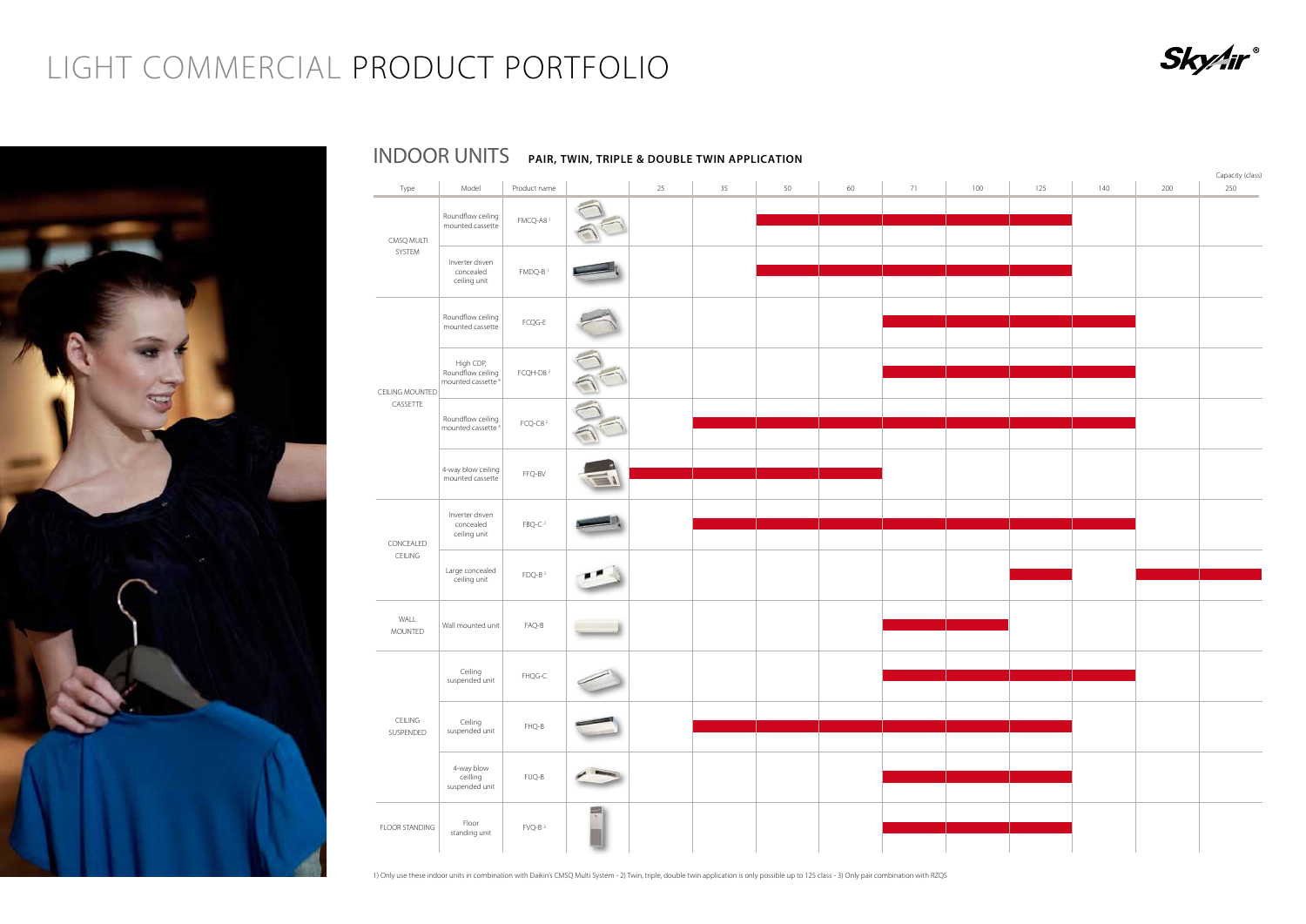| Type                   | Model                                                           | Product name                   |   | 25 | 35 | 50 | 60 | 71 | 100 | 125 | 140 | 200 | Capacity (class)<br>250 |
|------------------------|-----------------------------------------------------------------|--------------------------------|---|----|----|----|----|----|-----|-----|-----|-----|-------------------------|
| CMSQ MULTI             | Roundflow ceiling<br>mounted cassette                           | FMCQ-A8 <sup>1</sup>           |   |    |    |    |    |    |     |     |     |     |                         |
| SYSTEM                 | Inverter driven<br>concealed<br>ceiling unit                    | FMDQ-B <sup>1</sup>            |   |    |    |    |    |    |     |     |     |     |                         |
|                        | Roundflow ceiling<br>mounted cassette                           | FCQG-E                         |   |    |    |    |    |    |     |     |     |     |                         |
| CEILING MOUNTED        | High COP,<br>Roundflow ceiling<br>mounted cassette <sup>4</sup> | FCQH-D8 <sup>2</sup>           |   |    |    |    |    |    |     |     |     |     |                         |
| CASSETTE               | Roundflow ceiling<br>mounted cassette <sup>4</sup>              | FCQ-C8 $2$                     |   |    |    |    |    |    |     |     |     |     |                         |
|                        | 4-way blow ceiling<br>mounted cassette                          | FFQ-BV                         |   |    |    |    |    |    |     |     |     |     |                         |
| CONCEALED              | Inverter driven<br>concealed<br>ceiling unit                    | FBQ-C <sup>2</sup>             |   |    |    |    |    |    |     |     |     |     |                         |
| CEILING                | Large concealed<br>ceiling unit                                 | $FDQ-B2$                       |   |    |    |    |    |    |     |     |     |     |                         |
| WALL<br><b>MOUNTED</b> | Wall mounted unit                                               | $FAQ-B$                        |   |    |    |    |    |    |     |     |     |     |                         |
|                        | Ceiling<br>suspended unit                                       | ${\sf FHQG}\text{-}\mathsf{C}$ |   |    |    |    |    |    |     |     |     |     |                         |
| CEILING<br>SUSPENDED   | Ceiling<br>suspended unit                                       | $FHQ-B$                        |   |    |    |    |    |    |     |     |     |     |                         |
|                        | 4-way blow<br>ceilling<br>suspended unit                        | $FUQ-B$                        |   |    |    |    |    |    |     |     |     |     |                         |
| <b>FLOOR STANDING</b>  | Floor<br>standing unit                                          | FVQ-B <sup>3</sup>             | 쀠 |    |    |    |    |    |     |     |     |     |                         |

1) Only use these indoor units in combination with Daikin's CMSQ Multi System - 2) Twin, triple, double twin application is only possible up to 125 class - 3) Only pair combination with RZQS



### INDOOR UNITS **PAIR, TWIN, TRIPLE & DOUBLE TWIN APPLICATION**

### LIGHT COMMERCIAL PRODUCT PORTFOLIO